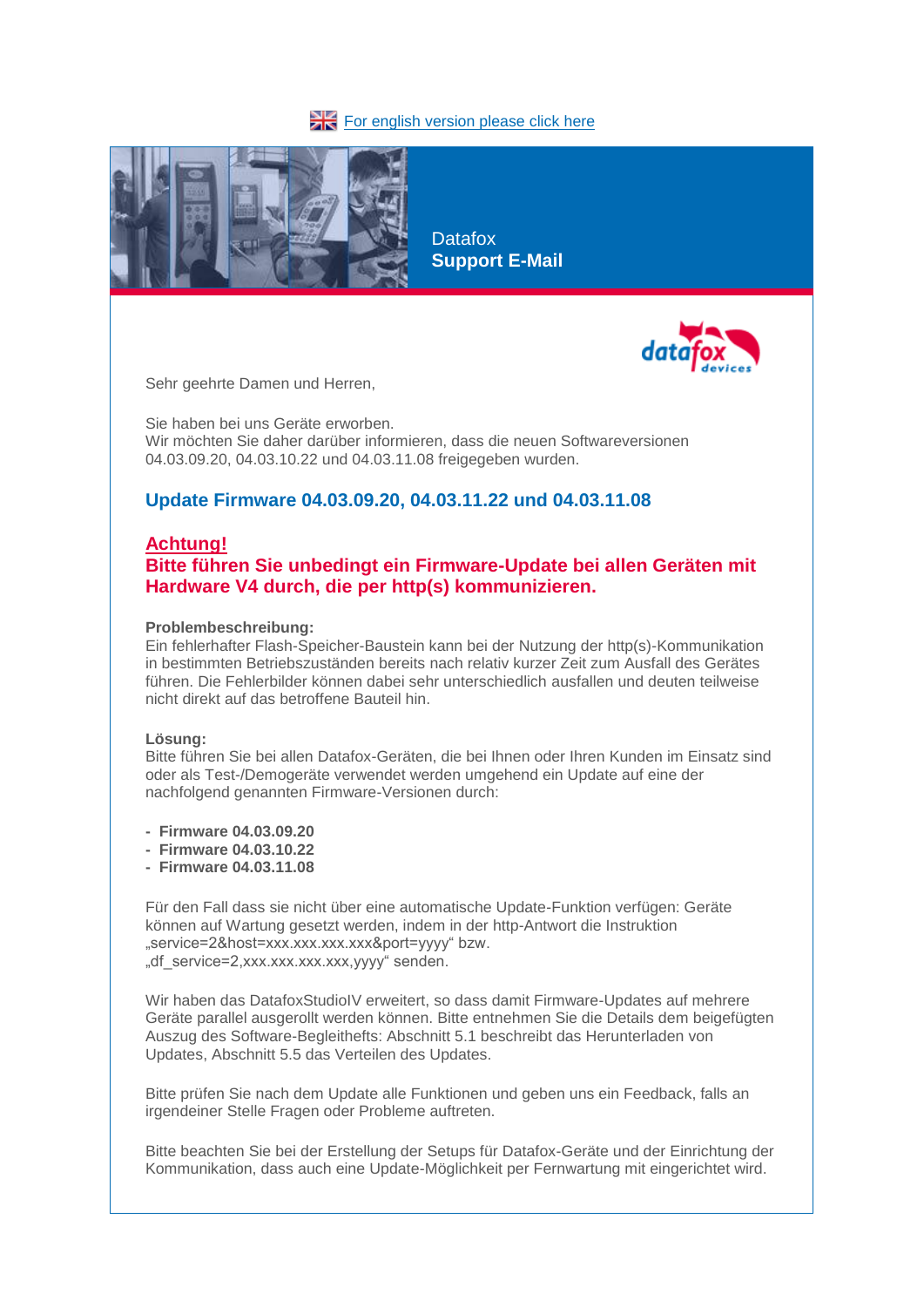### [For english version please click here](about:blank)



**Datafox Support E-Mail**



Sehr geehrte Damen und Herren,

Sie haben bei uns Geräte erworben. Wir möchten Sie daher darüber informieren, dass die neuen Softwareversionen 04.03.09.20, 04.03.10.22 und 04.03.11.08 freigegeben wurden.

## **Update Firmware 04.03.09.20, 04.03.11.22 und 04.03.11.08**

### **Achtung!**

# **Bitte führen Sie unbedingt ein Firmware-Update bei allen Geräten mit Hardware V4 durch, die per http(s) kommunizieren.**

#### **Problembeschreibung:**

Ein fehlerhafter Flash-Speicher-Baustein kann bei der Nutzung der http(s)-Kommunikation in bestimmten Betriebszuständen bereits nach relativ kurzer Zeit zum Ausfall des Gerätes führen. Die Fehlerbilder können dabei sehr unterschiedlich ausfallen und deuten teilweise nicht direkt auf das betroffene Bauteil hin.

#### **Lösung:**

Bitte führen Sie bei allen Datafox-Geräten, die bei Ihnen oder Ihren Kunden im Einsatz sind oder als Test-/Demogeräte verwendet werden umgehend ein Update auf eine der nachfolgend genannten Firmware-Versionen durch:

- **- Firmware 04.03.09.20**
- **Firmware 04.03.10.22**
- **Firmware 04.03.11.08**

Für den Fall dass sie nicht über eine automatische Update-Funktion verfügen: Geräte können auf Wartung gesetzt werden, indem in der http-Antwort die Instruktion "service=2&host=xxx.xxx.xxx.xxx&port=yyyy" bzw. "df\_service=2.xxx.xxx.xxx.xxx.yyyy" senden.

Wir haben das DatafoxStudioIV erweitert, so dass damit Firmware-Updates auf mehrere Geräte parallel ausgerollt werden können. Bitte entnehmen Sie die Details dem beigefügten Auszug des Software-Begleithefts: Abschnitt 5.1 beschreibt das Herunterladen von Updates, Abschnitt 5.5 das Verteilen des Updates.

Bitte prüfen Sie nach dem Update alle Funktionen und geben uns ein Feedback, falls an irgendeiner Stelle Fragen oder Probleme auftreten.

Bitte beachten Sie bei der Erstellung der Setups für Datafox-Geräte und der Einrichtung der Kommunikation, dass auch eine Update-Möglichkeit per Fernwartung mit eingerichtet wird.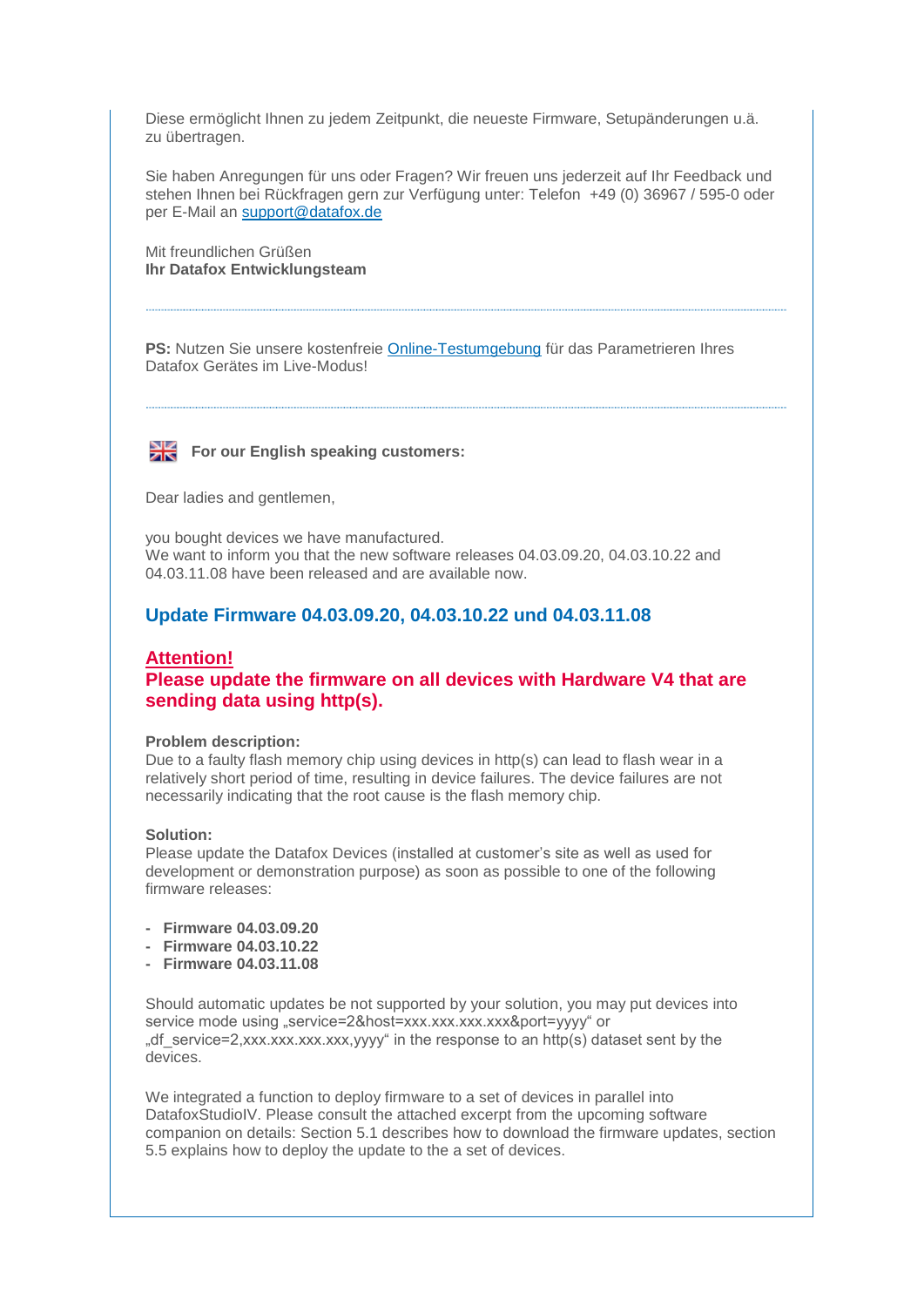Diese ermöglicht Ihnen zu jedem Zeitpunkt, die neueste Firmware, Setupänderungen u.ä. zu übertragen.

Sie haben Anregungen für uns oder Fragen? Wir freuen uns jederzeit auf Ihr Feedback und stehen Ihnen bei Rückfragen gern zur Verfügung unter: Telefon +49 (0) 36967 / 595-0 oder per E-Mail an [support@datafox.de](mailto:support@datafox.de)

Mit freundlichen Grüßen **Ihr Datafox Entwicklungsteam** 

**PS:** Nutzen Sie unsere kostenfreie [Online-Testumgebung](https://www.datafox.de/online-testumgebung.de.html) für das Parametrieren Ihres Datafox Gerätes im Live-Modus!

## For our English speaking customers:

Dear ladies and gentlemen,

you bought devices we have manufactured. We want to inform you that the new software releases 04.03.09.20, 04.03.10.22 and 04.03.11.08 have been released and are available now.

## **Update Firmware 04.03.09.20, 04.03.10.22 und 04.03.11.08**

# **Attention! Please update the firmware on all devices with Hardware V4 that are sending data using http(s).**

### **Problem description:**

Due to a faulty flash memory chip using devices in http(s) can lead to flash wear in a relatively short period of time, resulting in device failures. The device failures are not necessarily indicating that the root cause is the flash memory chip.

### **Solution:**

Please update the Datafox Devices (installed at customer's site as well as used for development or demonstration purpose) as soon as possible to one of the following firmware releases:

- **Firmware 04.03.09.20**
- **Firmware 04.03.10.22**
- **Firmware 04.03.11.08**

Should automatic updates be not supported by your solution, you may put devices into service mode using "service=2&host=xxx.xxx.xxx.xxx&port=yyyy" or ", df service=2,xxx.xxx.xxx.xxx,yyyy" in the response to an http(s) dataset sent by the devices.

We integrated a function to deploy firmware to a set of devices in parallel into DatafoxStudioIV. Please consult the attached excerpt from the upcoming software companion on details: Section 5.1 describes how to download the firmware updates, section 5.5 explains how to deploy the update to the a set of devices.